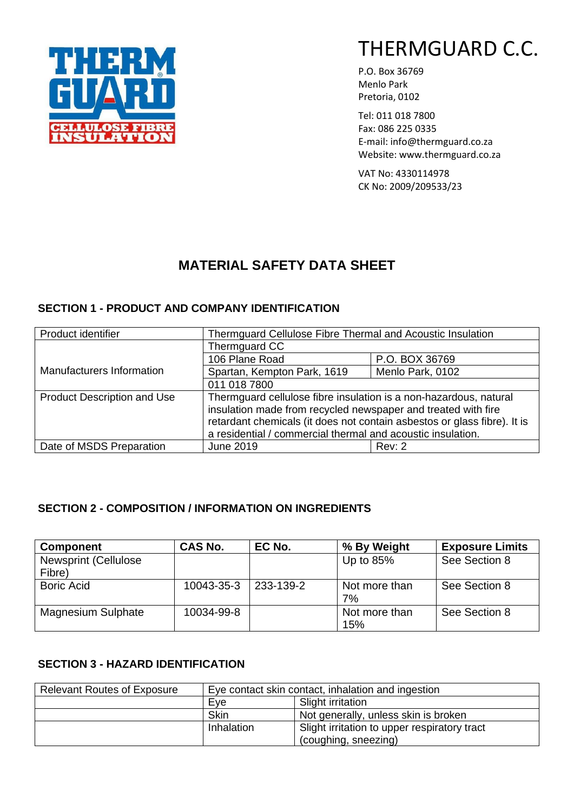

P.O. Box 36769 Menlo Park Pretoria, 0102

Tel: 011 018 7800 Fax: 086 225 0335 E-mail: info@thermguard.co.za Website: www.thermguard.co.za

VAT No: 4330114978 CK No: 2009/209533/23

# **MATERIAL SAFETY DATA SHEET**

## **SECTION 1 - PRODUCT AND COMPANY IDENTIFICATION**

| Product identifier                 | Thermguard Cellulose Fibre Thermal and Acoustic Insulation               |                  |  |
|------------------------------------|--------------------------------------------------------------------------|------------------|--|
|                                    | Thermguard CC                                                            |                  |  |
|                                    | 106 Plane Road                                                           | P.O. BOX 36769   |  |
| Manufacturers Information          | Spartan, Kempton Park, 1619                                              | Menlo Park, 0102 |  |
|                                    | 011 018 7800                                                             |                  |  |
| <b>Product Description and Use</b> | Thermguard cellulose fibre insulation is a non-hazardous, natural        |                  |  |
|                                    | insulation made from recycled newspaper and treated with fire            |                  |  |
|                                    | retardant chemicals (it does not contain asbestos or glass fibre). It is |                  |  |
|                                    | a residential / commercial thermal and acoustic insulation.              |                  |  |
| Date of MSDS Preparation           | <b>June 2019</b>                                                         | Rev: 2           |  |

## **SECTION 2 - COMPOSITION / INFORMATION ON INGREDIENTS**

| <b>Component</b>                       | <b>CAS No.</b> | EC No.    | % By Weight          | <b>Exposure Limits</b> |
|----------------------------------------|----------------|-----------|----------------------|------------------------|
| <b>Newsprint (Cellulose)</b><br>Fibre) |                |           | Up to $85%$          | See Section 8          |
| <b>Boric Acid</b>                      | 10043-35-3     | 233-139-2 | Not more than<br>7%  | See Section 8          |
| <b>Magnesium Sulphate</b>              | 10034-99-8     |           | Not more than<br>15% | See Section 8          |

### **SECTION 3 - HAZARD IDENTIFICATION**

| <b>Relevant Routes of Exposure</b> | Eye contact skin contact, inhalation and ingestion         |  |
|------------------------------------|------------------------------------------------------------|--|
|                                    | Slight irritation<br>Eye                                   |  |
|                                    | <b>Skin</b><br>Not generally, unless skin is broken        |  |
|                                    | Slight irritation to upper respiratory tract<br>Inhalation |  |
|                                    | (coughing, sneezing)                                       |  |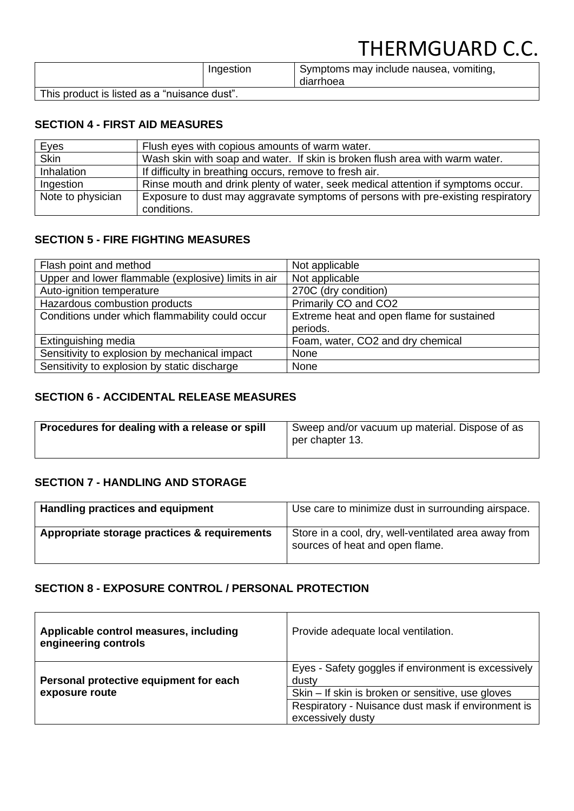# THERMGUARD C.C.

|                                              | Ingestion | Symptoms may include nausea, vomiting,<br>diarrhoea |
|----------------------------------------------|-----------|-----------------------------------------------------|
| This product is listed as a "nuisance dust". |           |                                                     |

### **SECTION 4 - FIRST AID MEASURES**

| Eyes              | Flush eyes with copious amounts of warm water.                                   |
|-------------------|----------------------------------------------------------------------------------|
| <b>Skin</b>       | Wash skin with soap and water. If skin is broken flush area with warm water.     |
| Inhalation        | If difficulty in breathing occurs, remove to fresh air.                          |
| Ingestion         | Rinse mouth and drink plenty of water, seek medical attention if symptoms occur. |
| Note to physician | Exposure to dust may aggravate symptoms of persons with pre-existing respiratory |
|                   | conditions.                                                                      |

### **SECTION 5 - FIRE FIGHTING MEASURES**

| Flash point and method                              | Not applicable                            |
|-----------------------------------------------------|-------------------------------------------|
| Upper and lower flammable (explosive) limits in air | Not applicable                            |
| Auto-ignition temperature                           | 270C (dry condition)                      |
| Hazardous combustion products                       | Primarily CO and CO2                      |
| Conditions under which flammability could occur     | Extreme heat and open flame for sustained |
|                                                     | periods.                                  |
| Extinguishing media                                 | Foam, water, CO2 and dry chemical         |
| Sensitivity to explosion by mechanical impact       | None                                      |
| Sensitivity to explosion by static discharge        | None                                      |

### **SECTION 6 - ACCIDENTAL RELEASE MEASURES**

| Procedures for dealing with a release or spill | Sweep and/or vacuum up material. Dispose of as<br>per chapter 13. |  |
|------------------------------------------------|-------------------------------------------------------------------|--|
|                                                |                                                                   |  |

### **SECTION 7 - HANDLING AND STORAGE**

| Handling practices and equipment             | Use care to minimize dust in surrounding airspace.                                      |
|----------------------------------------------|-----------------------------------------------------------------------------------------|
| Appropriate storage practices & requirements | Store in a cool, dry, well-ventilated area away from<br>sources of heat and open flame. |

### **SECTION 8 - EXPOSURE CONTROL / PERSONAL PROTECTION**

| Applicable control measures, including<br>engineering controls | Provide adequate local ventilation.                          |
|----------------------------------------------------------------|--------------------------------------------------------------|
| Personal protective equipment for each                         | Eyes - Safety goggles if environment is excessively<br>dusty |
| exposure route                                                 | Skin – If skin is broken or sensitive, use gloves            |
|                                                                | Respiratory - Nuisance dust mask if environment is           |
|                                                                | excessively dusty                                            |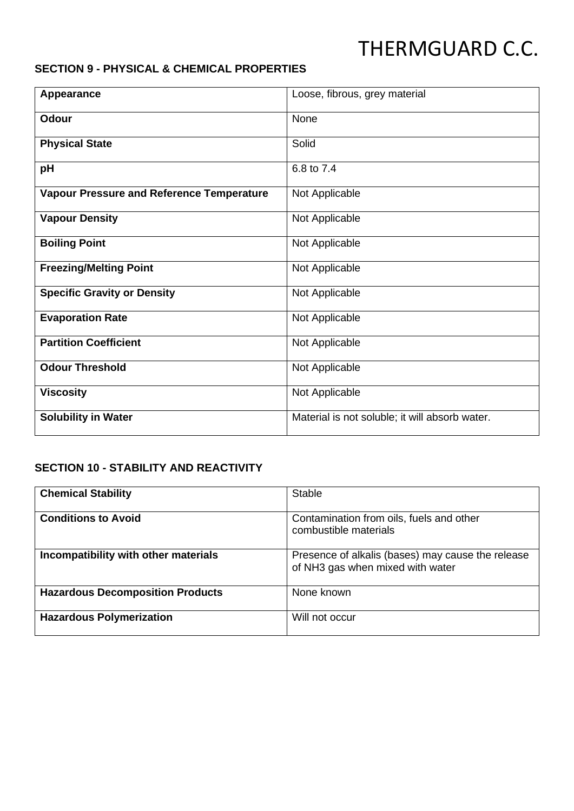# THERMGUARD C.C.

### **SECTION 9 - PHYSICAL & CHEMICAL PROPERTIES**

| Appearance                                       | Loose, fibrous, grey material                  |
|--------------------------------------------------|------------------------------------------------|
| Odour                                            | None                                           |
| <b>Physical State</b>                            | Solid                                          |
| pH                                               | 6.8 to 7.4                                     |
| <b>Vapour Pressure and Reference Temperature</b> | Not Applicable                                 |
| <b>Vapour Density</b>                            | Not Applicable                                 |
| <b>Boiling Point</b>                             | Not Applicable                                 |
| <b>Freezing/Melting Point</b>                    | Not Applicable                                 |
| <b>Specific Gravity or Density</b>               | Not Applicable                                 |
| <b>Evaporation Rate</b>                          | Not Applicable                                 |
| <b>Partition Coefficient</b>                     | Not Applicable                                 |
| <b>Odour Threshold</b>                           | Not Applicable                                 |
| <b>Viscosity</b>                                 | Not Applicable                                 |
| <b>Solubility in Water</b>                       | Material is not soluble; it will absorb water. |

## **SECTION 10 - STABILITY AND REACTIVITY**

| <b>Chemical Stability</b>               | <b>Stable</b>                                                                         |
|-----------------------------------------|---------------------------------------------------------------------------------------|
| <b>Conditions to Avoid</b>              | Contamination from oils, fuels and other<br>combustible materials                     |
| Incompatibility with other materials    | Presence of alkalis (bases) may cause the release<br>of NH3 gas when mixed with water |
| <b>Hazardous Decomposition Products</b> | None known                                                                            |
| <b>Hazardous Polymerization</b>         | Will not occur                                                                        |